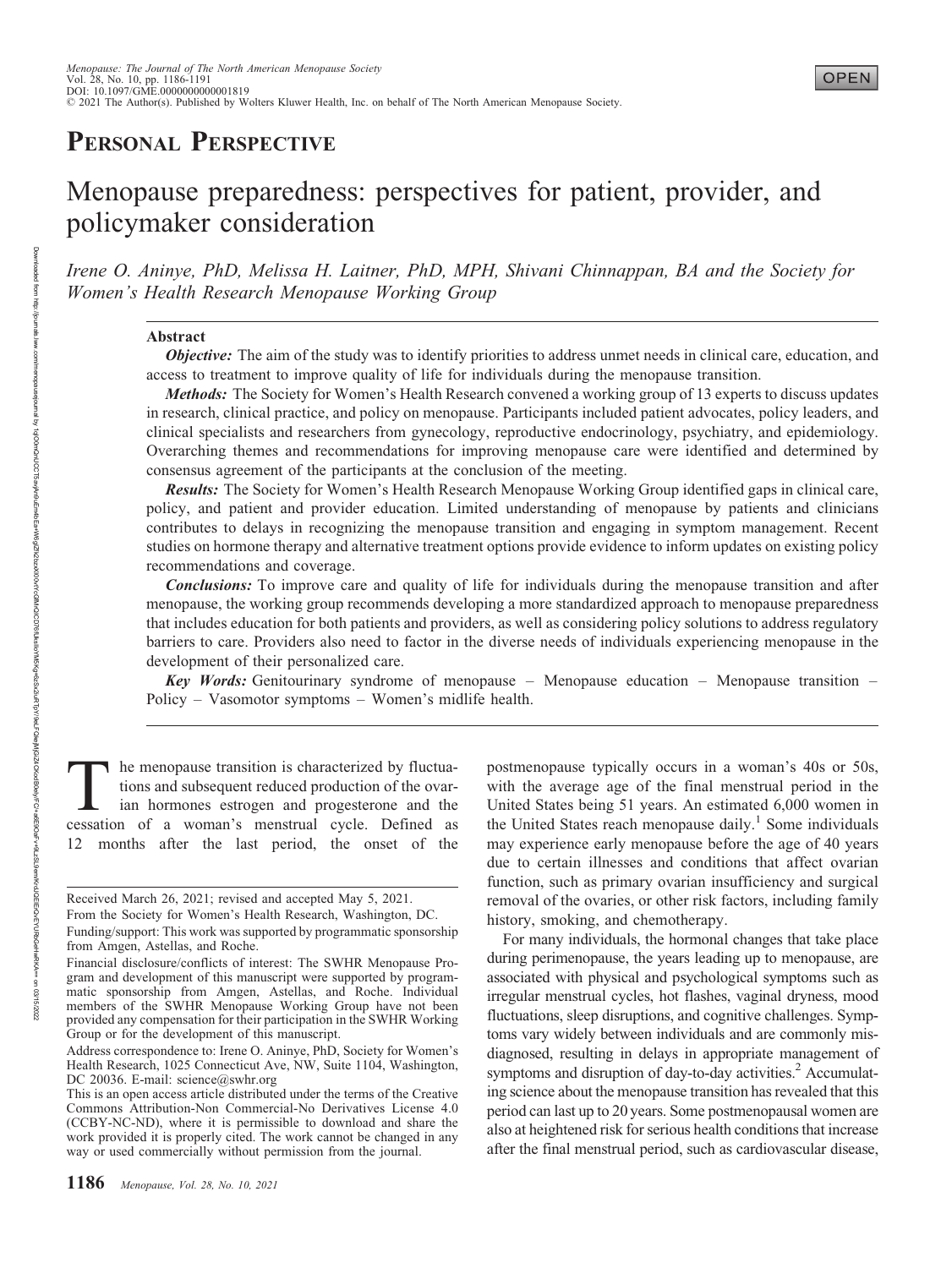# PERSONAL PERSPECTIVE

# Menopause preparedness: perspectives for patient, provider, and policymaker consideration

Irene O. Aninye, PhD, Melissa H. Laitner, PhD, MPH, Shivani Chinnappan, BA and the Society for Women's Health Research Menopause Working Group

# Abstract

**Objective:** The aim of the study was to identify priorities to address unmet needs in clinical care, education, and access to treatment to improve quality of life for individuals during the menopause transition.

Methods: The Society for Women's Health Research convened a working group of 13 experts to discuss updates in research, clinical practice, and policy on menopause. Participants included patient advocates, policy leaders, and clinical specialists and researchers from gynecology, reproductive endocrinology, psychiatry, and epidemiology. Overarching themes and recommendations for improving menopause care were identified and determined by consensus agreement of the participants at the conclusion of the meeting.

Results: The Society for Women's Health Research Menopause Working Group identified gaps in clinical care, policy, and patient and provider education. Limited understanding of menopause by patients and clinicians contributes to delays in recognizing the menopause transition and engaging in symptom management. Recent studies on hormone therapy and alternative treatment options provide evidence to inform updates on existing policy recommendations and coverage.

**Conclusions:** To improve care and quality of life for individuals during the menopause transition and after menopause, the working group recommends developing a more standardized approach to menopause preparedness that includes education for both patients and providers, as well as considering policy solutions to address regulatory barriers to care. Providers also need to factor in the diverse needs of individuals experiencing menopause in the development of their personalized care.

Key Words: Genitourinary syndrome of menopause – Menopause education – Menopause transition – Policy – Vasomotor symptoms – Women's midlife health.

The menopause transition is characterized by fluctuations and subsequent reduced production of the ovarian hormones estrogen and progesterone and the cessation of a woman's menstrual cycle. Defined as 12 months after the last period, the onset of the

postmenopause typically occurs in a woman's 40s or 50s, with the average age of the final menstrual period in the United States being 51 years. An estimated 6,000 women in the United States reach menopause daily.<sup>1</sup> Some individuals may experience early menopause before the age of 40 years due to certain illnesses and conditions that affect ovarian function, such as primary ovarian insufficiency and surgical removal of the ovaries, or other risk factors, including family history, smoking, and chemotherapy.

For many individuals, the hormonal changes that take place during perimenopause, the years leading up to menopause, are associated with physical and psychological symptoms such as irregular menstrual cycles, hot flashes, vaginal dryness, mood fluctuations, sleep disruptions, and cognitive challenges. Symptoms vary widely between individuals and are commonly misdiagnosed, resulting in delays in appropriate management of symptoms and disruption of day-to-day activities.<sup>2</sup> Accumulating science about the menopause transition has revealed that this period can last up to 20 years. Some postmenopausal women are also at heightened risk for serious health conditions that increase after the final menstrual period, such as cardiovascular disease,

Received March 26, 2021; revised and accepted May 5, 2021. From the Society for Women's Health Research, Washington, DC. Funding/support: This work was supported by programmatic sponsorship from Amgen, Astellas, and Roche.

Financial disclosure/conflicts of interest: The SWHR Menopause Program and development of this manuscript were supported by programmatic sponsorship from Amgen, Astellas, and Roche. Individual members of the SWHR Menopause Working Group have not been provided any compensation for their participation in the SWHR Working Group or for the development of this manuscript.

Address correspondence to: Irene O. Aninye, PhD, Society for Women's Health Research, 1025 Connecticut Ave, NW, Suite 1104, Washington, DC 20036. E-mail: [science@swhr.org](mailto:science@swhr.org)

This is an open access article distributed under the terms of the Creative Commons Attribution-Non Commercial-No Derivatives License 4.0 (CCBY-NC-ND), where it is permissible to download and share the work provided it is properly cited. The work cannot be changed in any way or used commercially without permission from the journal.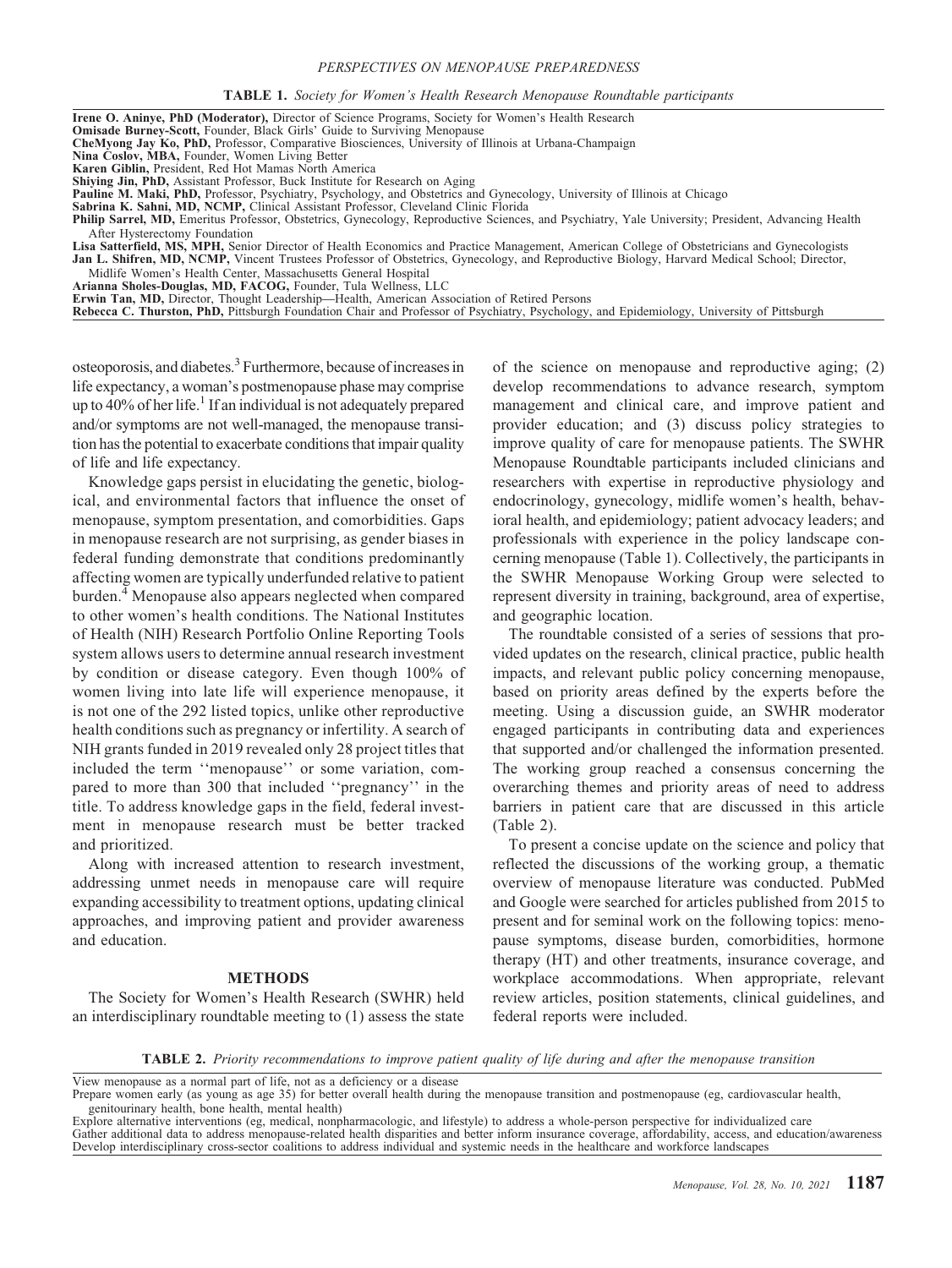#### PERSPECTIVES ON MENOPAUSE PREPAREDNESS

| TABLE 1. Society for Women's Health Research Menopause Roundtable participants |  |  |  |  |
|--------------------------------------------------------------------------------|--|--|--|--|
|--------------------------------------------------------------------------------|--|--|--|--|

| <b>Irene O. Aninye, PhD (Moderator),</b> Director of Science Programs, Society for Women's Health Research                                         |
|----------------------------------------------------------------------------------------------------------------------------------------------------|
| <b>Omisade Burney-Scott, Founder, Black Girls' Guide to Surviving Menopause</b>                                                                    |
| <b>CheMyong Jay Ko, PhD, Professor, Comparative Biosciences, University of Illinois at Urbana-Champaign</b>                                        |
| Nina Coslov, MBA, Founder, Women Living Better                                                                                                     |
| Karen Giblin, President, Red Hot Mamas North America                                                                                               |
| <b>Shiving Jin, PhD,</b> Assistant Professor, Buck Institute for Research on Aging                                                                 |
| <b>Pauline M. Maki, PhD,</b> Professor, Psychiatry, Psychology, and Obstetrics and Gynecology, University of Illinois at Chicago                   |
| Sabrina K. Sahni, MD, NCMP, Clinical Assistant Professor, Cleveland Clinic Florida                                                                 |
| Philip Sarrel, MD, Emeritus Professor, Obstetrics, Gynecology, Reproductive Sciences, and Psychiatry, Yale University; President, Advancing Health |
| After Hysterectomy Foundation                                                                                                                      |
| Lisa Satterfield, MS, MPH, Senior Director of Health Economics and Practice Management, American College of Obstetricians and Gynecologists        |
| Jan L. Shifren, MD, NCMP, Vincent Trustees Professor of Obstetrics, Gynecology, and Reproductive Biology, Harvard Medical School; Director,        |
| Midlife Women's Health Center, Massachusetts General Hospital                                                                                      |
| Arianna Sholes-Douglas, MD, FACOG, Founder, Tula Wellness, LLC                                                                                     |
| <b>Erwin Tan, MD, Director, Thought Leadership—Health, American Association of Retired Persons</b>                                                 |
| <b>Rebecca C. Thurston, PhD,</b> Pittsburgh Foundation Chair and Professor of Psychiatry, Psychology, and Epidemiology, University of Pittsburgh   |
|                                                                                                                                                    |
|                                                                                                                                                    |
|                                                                                                                                                    |

osteoporosis, and diabetes.<sup>3</sup> Furthermore, because of increases in life expectancy, a woman's postmenopause phase may comprise up to 40% of her life.<sup>1</sup> If an individual is not adequately prepared and/or symptoms are not well-managed, the menopause transition has the potential to exacerbate conditions that impair quality of life and life expectancy.

Knowledge gaps persist in elucidating the genetic, biological, and environmental factors that influence the onset of menopause, symptom presentation, and comorbidities. Gaps in menopause research are not surprising, as gender biases in federal funding demonstrate that conditions predominantly affecting women are typically underfunded relative to patient burden.<sup>4</sup> Menopause also appears neglected when compared to other women's health conditions. The National Institutes of Health (NIH) Research Portfolio Online Reporting Tools system allows users to determine annual research investment by condition or disease category. Even though 100% of women living into late life will experience menopause, it is not one of the 292 listed topics, unlike other reproductive health conditions such as pregnancy or infertility. A search of NIH grants funded in 2019 revealed only 28 project titles that included the term ''menopause'' or some variation, compared to more than 300 that included ''pregnancy'' in the title. To address knowledge gaps in the field, federal investment in menopause research must be better tracked and prioritized.

Along with increased attention to research investment, addressing unmet needs in menopause care will require expanding accessibility to treatment options, updating clinical approaches, and improving patient and provider awareness and education.

#### **METHODS**

The Society for Women's Health Research (SWHR) held an interdisciplinary roundtable meeting to (1) assess the state of the science on menopause and reproductive aging; (2) develop recommendations to advance research, symptom management and clinical care, and improve patient and provider education; and (3) discuss policy strategies to improve quality of care for menopause patients. The SWHR Menopause Roundtable participants included clinicians and researchers with expertise in reproductive physiology and endocrinology, gynecology, midlife women's health, behavioral health, and epidemiology; patient advocacy leaders; and professionals with experience in the policy landscape concerning menopause (Table 1). Collectively, the participants in the SWHR Menopause Working Group were selected to represent diversity in training, background, area of expertise, and geographic location.

The roundtable consisted of a series of sessions that provided updates on the research, clinical practice, public health impacts, and relevant public policy concerning menopause, based on priority areas defined by the experts before the meeting. Using a discussion guide, an SWHR moderator engaged participants in contributing data and experiences that supported and/or challenged the information presented. The working group reached a consensus concerning the overarching themes and priority areas of need to address barriers in patient care that are discussed in this article (Table 2).

To present a concise update on the science and policy that reflected the discussions of the working group, a thematic overview of menopause literature was conducted. PubMed and Google were searched for articles published from 2015 to present and for seminal work on the following topics: menopause symptoms, disease burden, comorbidities, hormone therapy (HT) and other treatments, insurance coverage, and workplace accommodations. When appropriate, relevant review articles, position statements, clinical guidelines, and federal reports were included.

TABLE 2. Priority recommendations to improve patient quality of life during and after the menopause transition

View menopause as a normal part of life, not as a deficiency or a disease

Prepare women early (as young as age 35) for better overall health during the menopause transition and postmenopause (eg, cardiovascular health, genitourinary health, bone health, mental health)

Explore alternative interventions (eg, medical, nonpharmacologic, and lifestyle) to address a whole-person perspective for individualized care Gather additional data to address menopause-related health disparities and better inform insurance coverage, affordability, access, and education/awareness<br>Develop interdisciplinary cross-sector coalitions to address indiv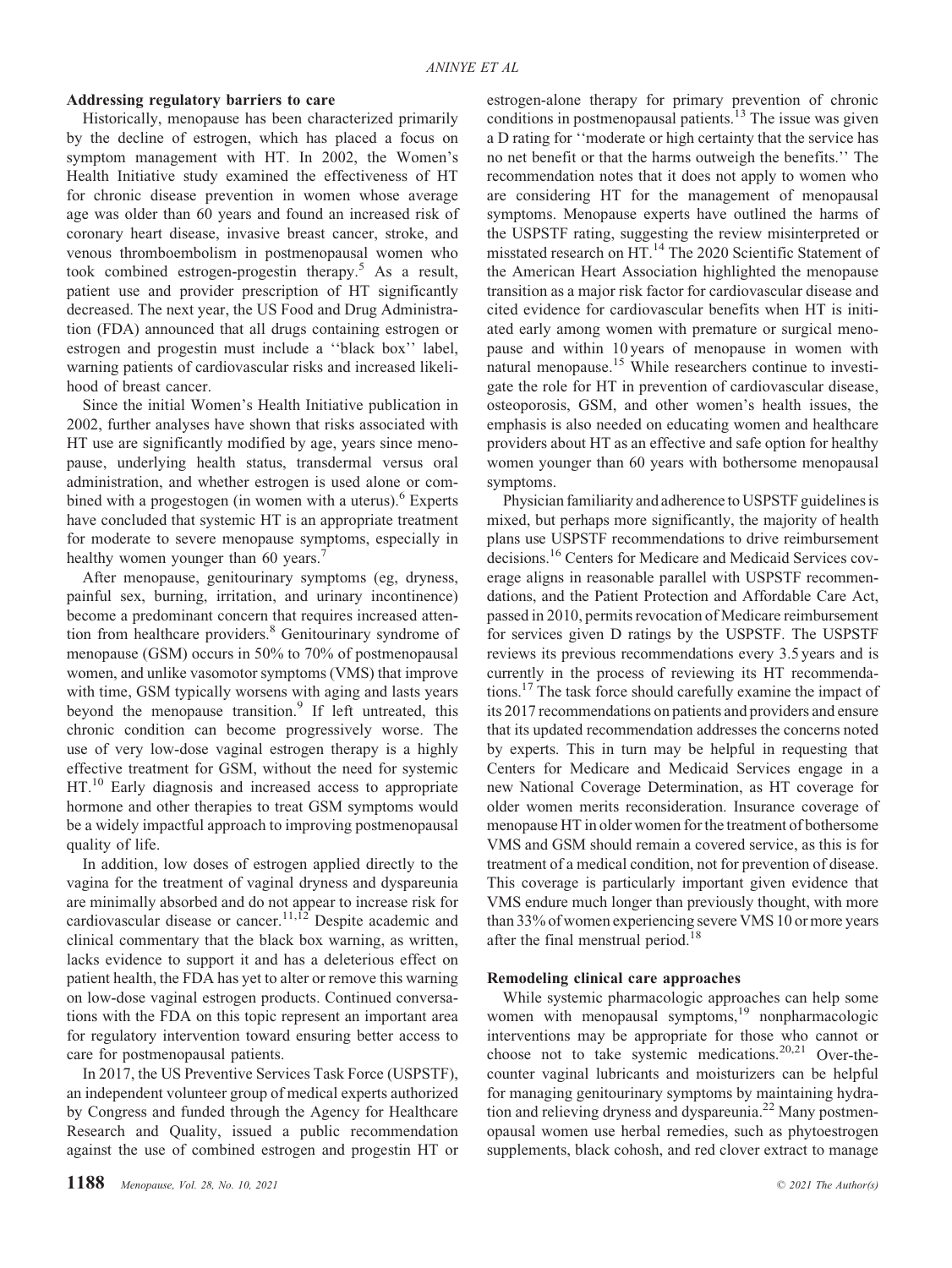# Addressing regulatory barriers to care

Historically, menopause has been characterized primarily by the decline of estrogen, which has placed a focus on symptom management with HT. In 2002, the Women's Health Initiative study examined the effectiveness of HT for chronic disease prevention in women whose average age was older than 60 years and found an increased risk of coronary heart disease, invasive breast cancer, stroke, and venous thromboembolism in postmenopausal women who took combined estrogen-progestin therapy.5 As a result, patient use and provider prescription of HT significantly decreased. The next year, the US Food and Drug Administration (FDA) announced that all drugs containing estrogen or estrogen and progestin must include a ''black box'' label, warning patients of cardiovascular risks and increased likelihood of breast cancer.

Since the initial Women's Health Initiative publication in 2002, further analyses have shown that risks associated with HT use are significantly modified by age, years since menopause, underlying health status, transdermal versus oral administration, and whether estrogen is used alone or combined with a progestogen (in women with a uterus).<sup>6</sup> Experts have concluded that systemic HT is an appropriate treatment for moderate to severe menopause symptoms, especially in healthy women younger than 60 years.<sup>7</sup>

After menopause, genitourinary symptoms (eg, dryness, painful sex, burning, irritation, and urinary incontinence) become a predominant concern that requires increased attention from healthcare providers.8 Genitourinary syndrome of menopause (GSM) occurs in 50% to 70% of postmenopausal women, and unlike vasomotor symptoms (VMS) that improve with time, GSM typically worsens with aging and lasts years beyond the menopause transition.<sup>9</sup> If left untreated, this chronic condition can become progressively worse. The use of very low-dose vaginal estrogen therapy is a highly effective treatment for GSM, without the need for systemic HT.<sup>10</sup> Early diagnosis and increased access to appropriate hormone and other therapies to treat GSM symptoms would be a widely impactful approach to improving postmenopausal quality of life.

In addition, low doses of estrogen applied directly to the vagina for the treatment of vaginal dryness and dyspareunia are minimally absorbed and do not appear to increase risk for cardiovascular disease or cancer.<sup>11,12</sup> Despite academic and clinical commentary that the black box warning, as written, lacks evidence to support it and has a deleterious effect on patient health, the FDA has yet to alter or remove this warning on low-dose vaginal estrogen products. Continued conversations with the FDA on this topic represent an important area for regulatory intervention toward ensuring better access to care for postmenopausal patients.

In 2017, the US Preventive Services Task Force (USPSTF), an independent volunteer group of medical experts authorized by Congress and funded through the Agency for Healthcare Research and Quality, issued a public recommendation against the use of combined estrogen and progestin HT or estrogen-alone therapy for primary prevention of chronic conditions in postmenopausal patients.<sup>13</sup> The issue was given a D rating for ''moderate or high certainty that the service has no net benefit or that the harms outweigh the benefits.'' The recommendation notes that it does not apply to women who are considering HT for the management of menopausal symptoms. Menopause experts have outlined the harms of the USPSTF rating, suggesting the review misinterpreted or misstated research on HT.<sup>14</sup> The 2020 Scientific Statement of the American Heart Association highlighted the menopause transition as a major risk factor for cardiovascular disease and cited evidence for cardiovascular benefits when HT is initiated early among women with premature or surgical menopause and within 10 years of menopause in women with natural menopause.<sup>15</sup> While researchers continue to investigate the role for HT in prevention of cardiovascular disease, osteoporosis, GSM, and other women's health issues, the emphasis is also needed on educating women and healthcare providers about HT as an effective and safe option for healthy women younger than 60 years with bothersome menopausal symptoms.

Physician familiarity and adherence to USPSTF guidelines is mixed, but perhaps more significantly, the majority of health plans use USPSTF recommendations to drive reimbursement decisions.16 Centers for Medicare and Medicaid Services coverage aligns in reasonable parallel with USPSTF recommendations, and the Patient Protection and Affordable Care Act, passed in 2010, permits revocation of Medicare reimbursement for services given D ratings by the USPSTF. The USPSTF reviews its previous recommendations every 3.5 years and is currently in the process of reviewing its HT recommendations.17 The task force should carefully examine the impact of its 2017 recommendations on patients and providers and ensure that its updated recommendation addresses the concerns noted by experts. This in turn may be helpful in requesting that Centers for Medicare and Medicaid Services engage in a new National Coverage Determination, as HT coverage for older women merits reconsideration. Insurance coverage of menopause HT in older women for the treatment of bothersome VMS and GSM should remain a covered service, as this is for treatment of a medical condition, not for prevention of disease. This coverage is particularly important given evidence that VMS endure much longer than previously thought, with more than 33% of women experiencing severe VMS 10 or more years after the final menstrual period.<sup>18</sup>

# Remodeling clinical care approaches

While systemic pharmacologic approaches can help some women with menopausal symptoms,<sup>19</sup> nonpharmacologic interventions may be appropriate for those who cannot or choose not to take systemic medications.<sup>20,21</sup> Over-thecounter vaginal lubricants and moisturizers can be helpful for managing genitourinary symptoms by maintaining hydration and relieving dryness and dyspareunia.<sup>22</sup> Many postmenopausal women use herbal remedies, such as phytoestrogen supplements, black cohosh, and red clover extract to manage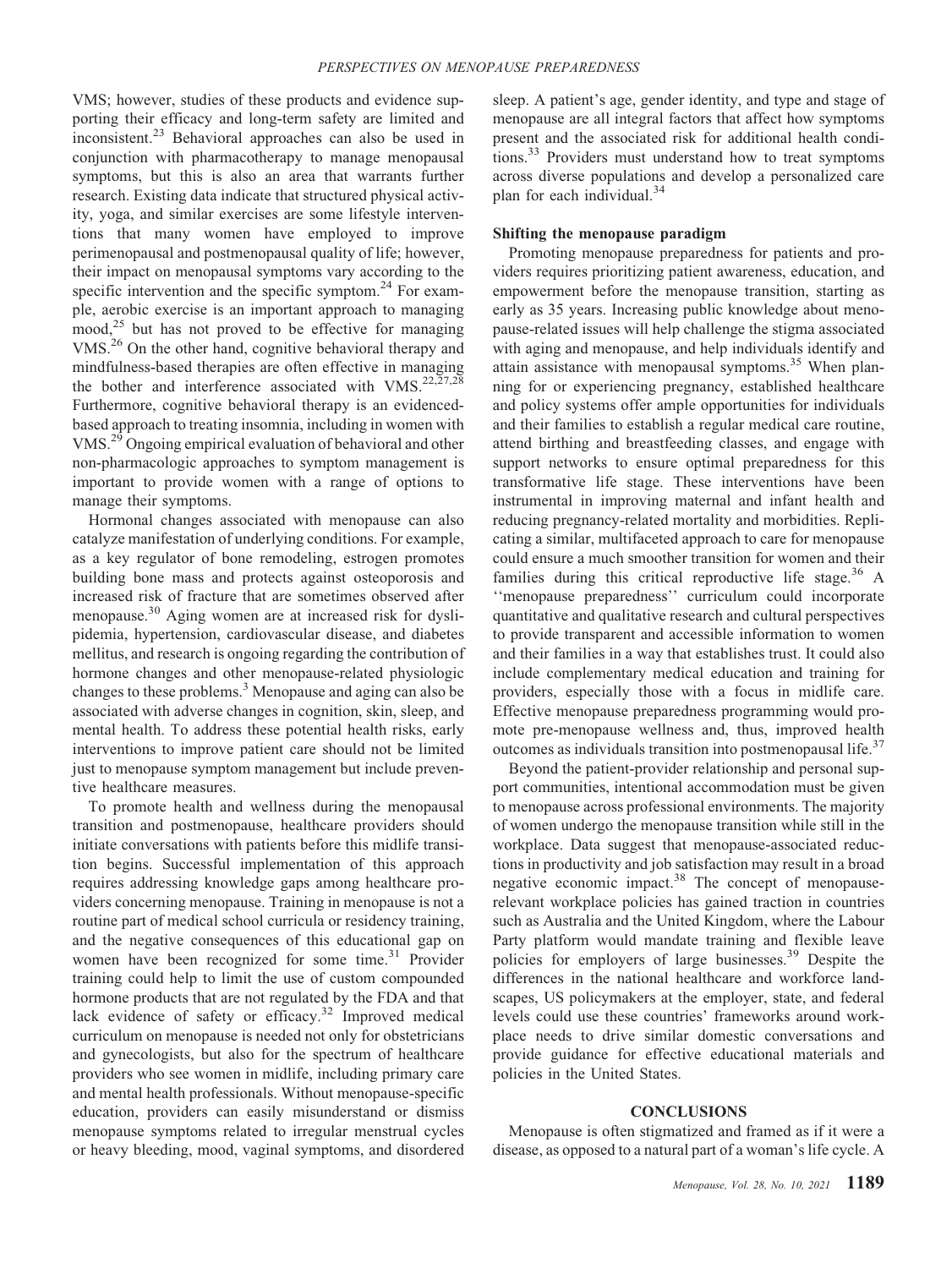VMS; however, studies of these products and evidence supporting their efficacy and long-term safety are limited and inconsistent.<sup>23</sup> Behavioral approaches can also be used in conjunction with pharmacotherapy to manage menopausal symptoms, but this is also an area that warrants further research. Existing data indicate that structured physical activity, yoga, and similar exercises are some lifestyle interventions that many women have employed to improve perimenopausal and postmenopausal quality of life; however, their impact on menopausal symptoms vary according to the specific intervention and the specific symptom. $^{24}$  For example, aerobic exercise is an important approach to managing  $\text{mod}$ <sup>25</sup> but has not proved to be effective for managing VMS.<sup>26</sup> On the other hand, cognitive behavioral therapy and mindfulness-based therapies are often effective in managing the bother and interference associated with VMS.<sup>22,27,28</sup> Furthermore, cognitive behavioral therapy is an evidencedbased approach to treating insomnia, including in women with VMS.<sup>29</sup> Ongoing empirical evaluation of behavioral and other non-pharmacologic approaches to symptom management is important to provide women with a range of options to manage their symptoms.

Hormonal changes associated with menopause can also catalyze manifestation of underlying conditions. For example, as a key regulator of bone remodeling, estrogen promotes building bone mass and protects against osteoporosis and increased risk of fracture that are sometimes observed after menopause.<sup>30</sup> Aging women are at increased risk for dyslipidemia, hypertension, cardiovascular disease, and diabetes mellitus, and research is ongoing regarding the contribution of hormone changes and other menopause-related physiologic changes to these problems.<sup>3</sup> Menopause and aging can also be associated with adverse changes in cognition, skin, sleep, and mental health. To address these potential health risks, early interventions to improve patient care should not be limited just to menopause symptom management but include preventive healthcare measures.

To promote health and wellness during the menopausal transition and postmenopause, healthcare providers should initiate conversations with patients before this midlife transition begins. Successful implementation of this approach requires addressing knowledge gaps among healthcare providers concerning menopause. Training in menopause is not a routine part of medical school curricula or residency training, and the negative consequences of this educational gap on women have been recognized for some time. $31$  Provider training could help to limit the use of custom compounded hormone products that are not regulated by the FDA and that lack evidence of safety or efficacy.<sup>32</sup> Improved medical curriculum on menopause is needed not only for obstetricians and gynecologists, but also for the spectrum of healthcare providers who see women in midlife, including primary care and mental health professionals. Without menopause-specific education, providers can easily misunderstand or dismiss menopause symptoms related to irregular menstrual cycles or heavy bleeding, mood, vaginal symptoms, and disordered sleep. A patient's age, gender identity, and type and stage of menopause are all integral factors that affect how symptoms present and the associated risk for additional health conditions.<sup>33</sup> Providers must understand how to treat symptoms across diverse populations and develop a personalized care plan for each individual.<sup>34</sup>

# Shifting the menopause paradigm

Promoting menopause preparedness for patients and providers requires prioritizing patient awareness, education, and empowerment before the menopause transition, starting as early as 35 years. Increasing public knowledge about menopause-related issues will help challenge the stigma associated with aging and menopause, and help individuals identify and attain assistance with menopausal symptoms.<sup>35</sup> When planning for or experiencing pregnancy, established healthcare and policy systems offer ample opportunities for individuals and their families to establish a regular medical care routine, attend birthing and breastfeeding classes, and engage with support networks to ensure optimal preparedness for this transformative life stage. These interventions have been instrumental in improving maternal and infant health and reducing pregnancy-related mortality and morbidities. Replicating a similar, multifaceted approach to care for menopause could ensure a much smoother transition for women and their families during this critical reproductive life stage.<sup>36</sup> A ''menopause preparedness'' curriculum could incorporate quantitative and qualitative research and cultural perspectives to provide transparent and accessible information to women and their families in a way that establishes trust. It could also include complementary medical education and training for providers, especially those with a focus in midlife care. Effective menopause preparedness programming would promote pre-menopause wellness and, thus, improved health outcomes as individuals transition into postmenopausal life.<sup>37</sup>

Beyond the patient-provider relationship and personal support communities, intentional accommodation must be given to menopause across professional environments. The majority of women undergo the menopause transition while still in the workplace. Data suggest that menopause-associated reductions in productivity and job satisfaction may result in a broad negative economic impact.<sup>38</sup> The concept of menopauserelevant workplace policies has gained traction in countries such as Australia and the United Kingdom, where the Labour Party platform would mandate training and flexible leave policies for employers of large businesses.<sup>39</sup> Despite the differences in the national healthcare and workforce landscapes, US policymakers at the employer, state, and federal levels could use these countries' frameworks around workplace needs to drive similar domestic conversations and provide guidance for effective educational materials and policies in the United States.

# **CONCLUSIONS**

Menopause is often stigmatized and framed as if it were a disease, as opposed to a natural part of a woman's life cycle. A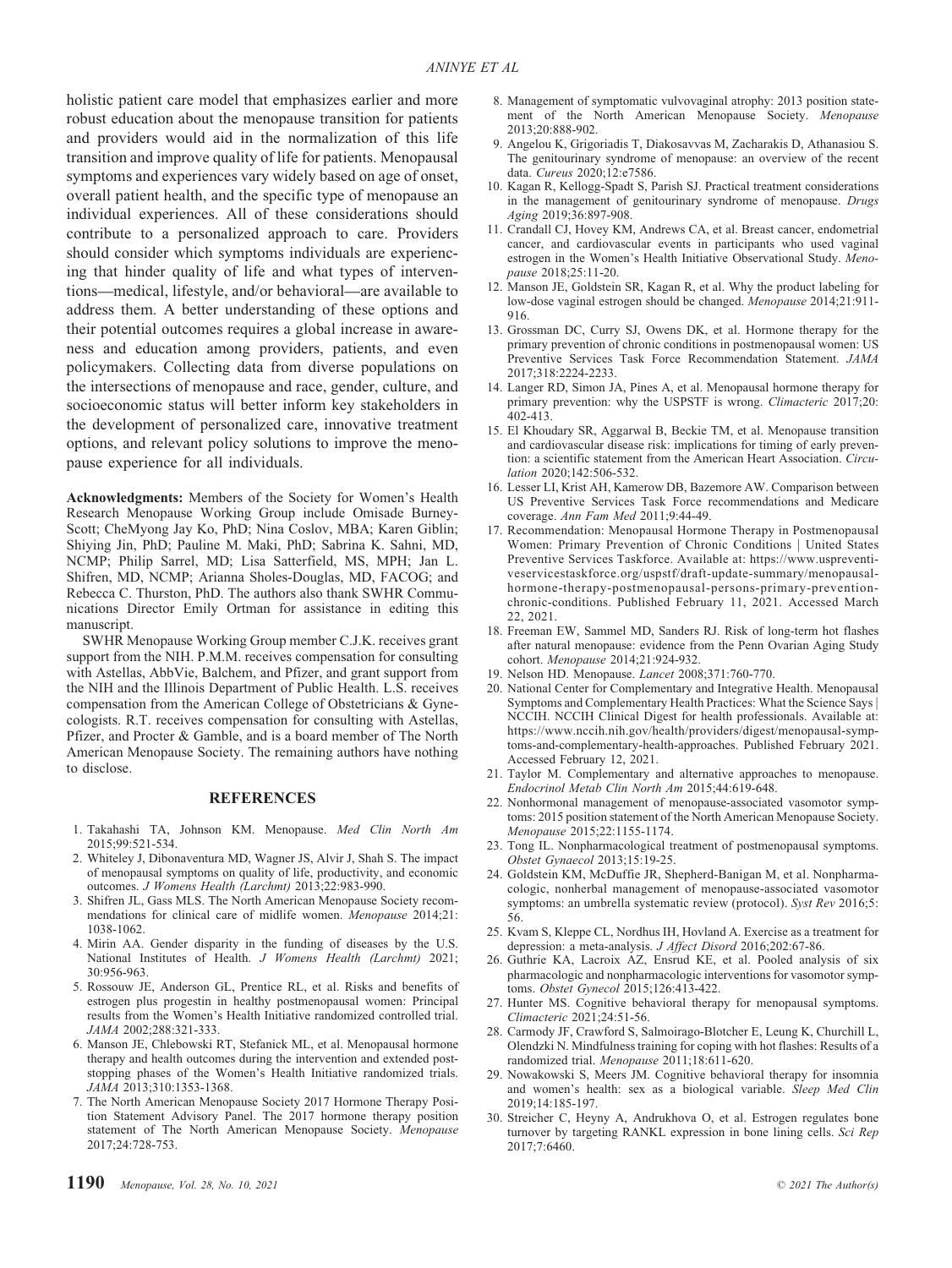holistic patient care model that emphasizes earlier and more robust education about the menopause transition for patients and providers would aid in the normalization of this life transition and improve quality of life for patients. Menopausal symptoms and experiences vary widely based on age of onset, overall patient health, and the specific type of menopause an individual experiences. All of these considerations should contribute to a personalized approach to care. Providers should consider which symptoms individuals are experiencing that hinder quality of life and what types of interventions—medical, lifestyle, and/or behavioral—are available to address them. A better understanding of these options and their potential outcomes requires a global increase in awareness and education among providers, patients, and even policymakers. Collecting data from diverse populations on the intersections of menopause and race, gender, culture, and socioeconomic status will better inform key stakeholders in the development of personalized care, innovative treatment options, and relevant policy solutions to improve the menopause experience for all individuals.

Acknowledgments: Members of the Society for Women's Health Research Menopause Working Group include Omisade Burney-Scott; CheMyong Jay Ko, PhD; Nina Coslov, MBA; Karen Giblin; Shiying Jin, PhD; Pauline M. Maki, PhD; Sabrina K. Sahni, MD, NCMP; Philip Sarrel, MD; Lisa Satterfield, MS, MPH; Jan L. Shifren, MD, NCMP; Arianna Sholes-Douglas, MD, FACOG; and Rebecca C. Thurston, PhD. The authors also thank SWHR Communications Director Emily Ortman for assistance in editing this manuscript.

SWHR Menopause Working Group member C.J.K. receives grant support from the NIH. P.M.M. receives compensation for consulting with Astellas, AbbVie, Balchem, and Pfizer, and grant support from the NIH and the Illinois Department of Public Health. L.S. receives compensation from the American College of Obstetricians & Gynecologists. R.T. receives compensation for consulting with Astellas, Pfizer, and Procter & Gamble, and is a board member of The North American Menopause Society. The remaining authors have nothing to disclose.

### **REFERENCES**

- 1. Takahashi TA, Johnson KM. Menopause. Med Clin North Am 2015;99:521-534.
- 2. Whiteley J, Dibonaventura MD, Wagner JS, Alvir J, Shah S. The impact of menopausal symptoms on quality of life, productivity, and economic outcomes. J Womens Health (Larchmt) 2013;22:983-990.
- 3. Shifren JL, Gass MLS. The North American Menopause Society recommendations for clinical care of midlife women. Menopause 2014;21: 1038-1062.
- 4. Mirin AA. Gender disparity in the funding of diseases by the U.S. National Institutes of Health. J Womens Health (Larchmt) 2021; 30:956-963.
- 5. Rossouw JE, Anderson GL, Prentice RL, et al. Risks and benefits of estrogen plus progestin in healthy postmenopausal women: Principal results from the Women's Health Initiative randomized controlled trial. JAMA 2002;288:321-333.
- 6. Manson JE, Chlebowski RT, Stefanick ML, et al. Menopausal hormone therapy and health outcomes during the intervention and extended poststopping phases of the Women's Health Initiative randomized trials. JAMA 2013;310:1353-1368.
- 7. The North American Menopause Society 2017 Hormone Therapy Position Statement Advisory Panel. The 2017 hormone therapy position statement of The North American Menopause Society. Menopause 2017;24:728-753.
- 1190 Menopause, Vol. 28, No. 10, 2021
- 8. Management of symptomatic vulvovaginal atrophy: 2013 position statement of the North American Menopause Society. Menopause 2013;20:888-902.
- 9. Angelou K, Grigoriadis T, Diakosavvas M, Zacharakis D, Athanasiou S. The genitourinary syndrome of menopause: an overview of the recent data. Cureus 2020;12:e7586.
- 10. Kagan R, Kellogg-Spadt S, Parish SJ. Practical treatment considerations in the management of genitourinary syndrome of menopause. Drugs Aging 2019;36:897-908.
- 11. Crandall CJ, Hovey KM, Andrews CA, et al. Breast cancer, endometrial cancer, and cardiovascular events in participants who used vaginal estrogen in the Women's Health Initiative Observational Study. Menopause 2018;25:11-20.
- 12. Manson JE, Goldstein SR, Kagan R, et al. Why the product labeling for low-dose vaginal estrogen should be changed. Menopause 2014;21:911- 916.
- 13. Grossman DC, Curry SJ, Owens DK, et al. Hormone therapy for the primary prevention of chronic conditions in postmenopausal women: US Preventive Services Task Force Recommendation Statement. JAMA 2017;318:2224-2233.
- 14. Langer RD, Simon JA, Pines A, et al. Menopausal hormone therapy for primary prevention: why the USPSTF is wrong. Climacteric 2017;20: 402-413.
- 15. El Khoudary SR, Aggarwal B, Beckie TM, et al. Menopause transition and cardiovascular disease risk: implications for timing of early prevention: a scientific statement from the American Heart Association. Circulation 2020;142:506-532.
- 16. Lesser LI, Krist AH, Kamerow DB, Bazemore AW. Comparison between US Preventive Services Task Force recommendations and Medicare coverage. Ann Fam Med 2011;9:44-49.
- 17. Recommendation: Menopausal Hormone Therapy in Postmenopausal Women: Primary Prevention of Chronic Conditions | United States Preventive Services Taskforce. Available at: [https://www.uspreventi](https://www.uspreventiveservicestaskforce.org/uspstf/draft-update-summary/menopausal-hormone-therapy-postmenopausal-persons-primary-prevention-chronic-conditions)[veservicestaskforce.org/uspstf/draft-update-summary/menopausal](https://www.uspreventiveservicestaskforce.org/uspstf/draft-update-summary/menopausal-hormone-therapy-postmenopausal-persons-primary-prevention-chronic-conditions)[hormone-therapy-postmenopausal-persons-primary-prevention](https://www.uspreventiveservicestaskforce.org/uspstf/draft-update-summary/menopausal-hormone-therapy-postmenopausal-persons-primary-prevention-chronic-conditions)[chronic-conditions.](https://www.uspreventiveservicestaskforce.org/uspstf/draft-update-summary/menopausal-hormone-therapy-postmenopausal-persons-primary-prevention-chronic-conditions) Published February 11, 2021. Accessed March 22, 2021.
- 18. Freeman EW, Sammel MD, Sanders RJ. Risk of long-term hot flashes after natural menopause: evidence from the Penn Ovarian Aging Study cohort. Menopause 2014;21:924-932.
- 19. Nelson HD. Menopause. Lancet 2008;371:760-770.
- 20. National Center for Complementary and Integrative Health. Menopausal Symptoms and Complementary Health Practices: What the Science Says | NCCIH. NCCIH Clinical Digest for health professionals. Available at: [https://www.nccih.nih.gov/health/providers/digest/menopausal-symp](https://www.nccih.nih.gov/health/providers/digest/menopausal-symptoms-and-complementary-health-approaches)[toms-and-complementary-health-approaches](https://www.nccih.nih.gov/health/providers/digest/menopausal-symptoms-and-complementary-health-approaches). Published February 2021. Accessed February 12, 2021.
- 21. Taylor M. Complementary and alternative approaches to menopause. Endocrinol Metab Clin North Am 2015;44:619-648.
- 22. Nonhormonal management of menopause-associated vasomotor symptoms: 2015 position statement of the North American Menopause Society. Menopause 2015;22:1155-1174.
- 23. Tong IL. Nonpharmacological treatment of postmenopausal symptoms. Obstet Gynaecol 2013;15:19-25.
- 24. Goldstein KM, McDuffie JR, Shepherd-Banigan M, et al. Nonpharmacologic, nonherbal management of menopause-associated vasomotor symptoms: an umbrella systematic review (protocol). Syst Rev 2016;5: 56.
- 25. Kvam S, Kleppe CL, Nordhus IH, Hovland A. Exercise as a treatment for depression: a meta-analysis. J Affect Disord 2016;202:67-86.
- 26. Guthrie KA, Lacroix AZ, Ensrud KE, et al. Pooled analysis of six pharmacologic and nonpharmacologic interventions for vasomotor symptoms. Obstet Gynecol 2015;126:413-422.
- 27. Hunter MS. Cognitive behavioral therapy for menopausal symptoms. Climacteric 2021;24:51-56.
- 28. Carmody JF, Crawford S, Salmoirago-Blotcher E, Leung K, Churchill L, Olendzki N. Mindfulness training for coping with hot flashes: Results of a randomized trial. Menopause 2011;18:611-620.
- 29. Nowakowski S, Meers JM. Cognitive behavioral therapy for insomnia and women's health: sex as a biological variable. Sleep Med Clin 2019;14:185-197.
- 30. Streicher C, Heyny A, Andrukhova O, et al. Estrogen regulates bone turnover by targeting RANKL expression in bone lining cells. Sci Rep 2017;7:6460.